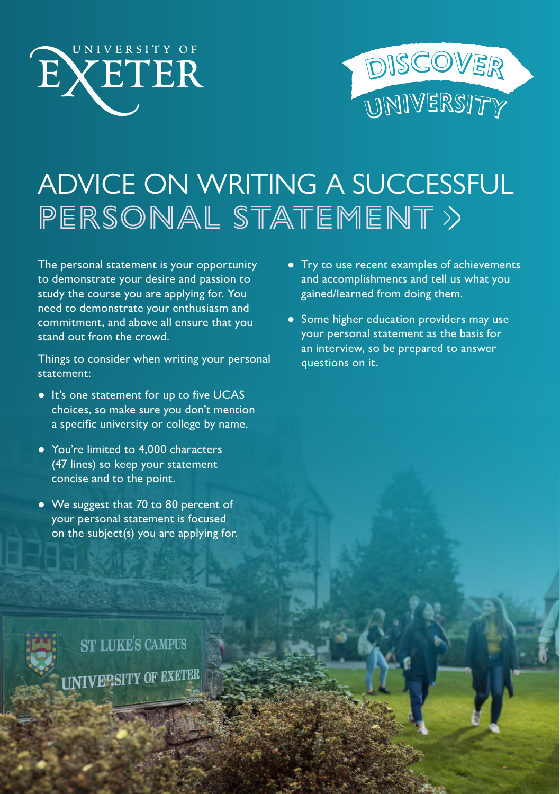



# ADVICE ON WRITING A SUCCESSFUL PERSONAL STATEMENT

The personal statement is your opportunity to demonstrate your desire and passion to study the course you are applying for. You need to demonstrate your enthusiasm and commitment, and above all ensure that you stand out from the crowd.

Things to consider when writing your personal statement:

- It's one statement for up to five UCAS choices, so make sure you don't mention a specific university or college by name.
- You're limited to 4,000 characters (47 lines) so keep your statement concise and to the point.
- We suggest that 70 to 80 percent of your personal statement is focused on the subject(s) you are applying for.
- Try to use recent examples of achievements and accomplishments and tell us what you gained/learned from doing them.
- Some higher education providers may use your personal statement as the basis for an interview, so be prepared to answer questions on it.

**ST LUKE'S CAMPUS UNIVEPSITY OF EXETER**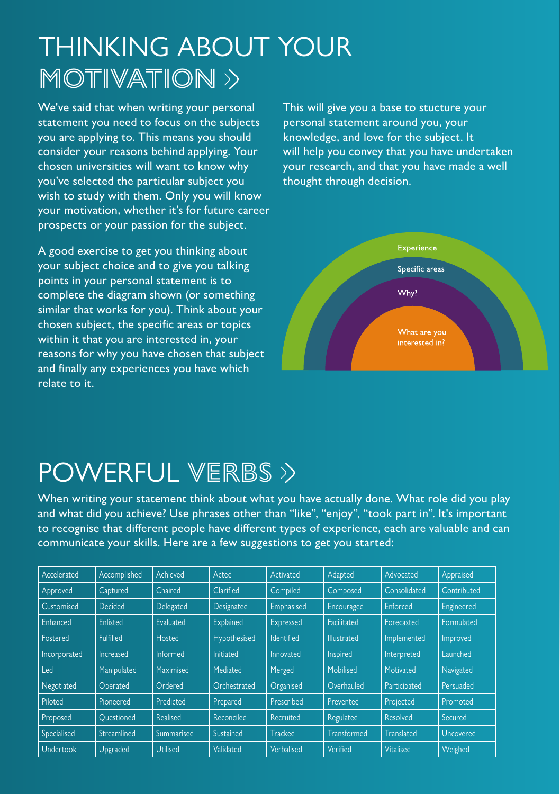## THINKING ABOUT YOUR MOTIVATION  $\rightarrow$

We've said that when writing your personal statement you need to focus on the subjects you are applying to. This means you should consider your reasons behind applying. Your chosen universities will want to know why you've selected the particular subject you wish to study with them. Only you will know your motivation, whether it's for future career prospects or your passion for the subject.

A good exercise to get you thinking about your subject choice and to give you talking points in your personal statement is to complete the diagram shown (or something similar that works for you). Think about your chosen subject, the specific areas or topics within it that you are interested in, your reasons for why you have chosen that subject and finally any experiences you have which relate to it.

This will give you a base to stucture your personal statement around you, your knowledge, and love for the subject. It will help you convey that you have undertaken your research, and that you have made a well thought through decision.



### POWERFUL VERBS >>

When writing your statement think about what you have actually done. What role did you play and what did you achieve? Use phrases other than "like", "enjoy", "took part in". It's important to recognise that different people have different types of experience, each are valuable and can communicate your skills. Here are a few suggestions to get you started:

| Accelerated  | Accomplished | Achieved        | Acted            | Activated         | Adapted            | Advocated         | Appraised        |
|--------------|--------------|-----------------|------------------|-------------------|--------------------|-------------------|------------------|
| Approved     | Captured     | Chaired         | Clarified        | Compiled          | Composed           | Consolidated      | Contributed      |
| Customised   | Decided      | Delegated       | Designated       | Emphasised        | Encouraged         | Enforced          | Engineered       |
| Enhanced     | Enlisted     | Evaluated       | Explained        | Expressed         | Facilitated        | Forecasted        | Formulated       |
| Fostered     | Fulfilled    | Hosted          | Hypothesised     | <b>Identified</b> | <b>Illustrated</b> | Implemented       | Improved         |
| Incorporated | Increased    | Informed        | <b>Initiated</b> | Innovated         | Inspired           | Interpreted       | Launched         |
| Led          | Manipulated  | Maximised       | Mediated         | Merged            | Mobilised          | Motivated         | Navigated        |
| Negotiated   | Operated     | Ordered         | Orchestrated     | Organised         | Overhauled         | Participated      | Persuaded        |
| Piloted      | Pioneered    | Predicted       | Prepared         | Prescribed        | Prevented          | Projected         | Promoted         |
| Proposed     | Ouestioned   | Realised        | Reconciled       | Recruited         | Regulated          | Resolved          | Secured          |
| Specialised  | Streamlined  | Summarised      | Sustained        | Tracked           | Transformed        | <b>Translated</b> | <b>Uncovered</b> |
| Undertook    | Upgraded     | <b>Utilised</b> | Validated        | Verbalised        | Verified           | Vitalised         | Weighed          |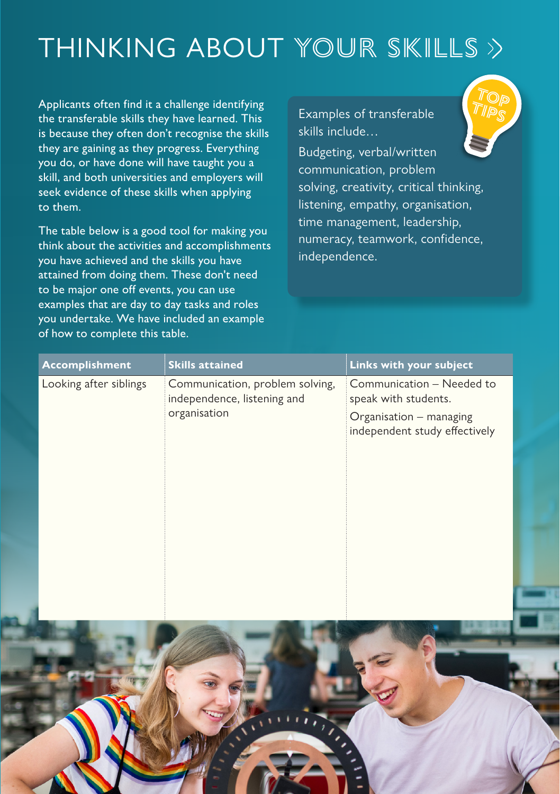# THINKING ABOUT YOUR SKILLS

Applicants often find it a challenge identifying the transferable skills they have learned. This is because they often don't recognise the skills they are gaining as they progress. Everything you do, or have done will have taught you a skill, and both universities and employers will seek evidence of these skills when applying to them.

The table below is a good tool for making you think about the activities and accomplishments you have achieved and the skills you have attained from doing them. These don't need to be major one off events, you can use examples that are day to day tasks and roles you undertake. We have included an example of how to complete this table.

Examples of transferable skills include…

Budgeting, verbal/written communication, problem solving, creativity, critical thinking, listening, empathy, organisation, time management, leadership, numeracy, teamwork, confidence, independence.

**TOP TIPS**

| Accomplishment         | <b>Skills attained</b>                                         | Links with your subject                                  |
|------------------------|----------------------------------------------------------------|----------------------------------------------------------|
| Looking after siblings | Communication, problem solving,<br>independence, listening and | Communication - Needed to<br>speak with students.        |
|                        | organisation                                                   | Organisation - managing<br>independent study effectively |
|                        |                                                                |                                                          |
|                        |                                                                |                                                          |
|                        |                                                                |                                                          |
|                        |                                                                |                                                          |
|                        |                                                                |                                                          |
|                        |                                                                |                                                          |
|                        |                                                                |                                                          |
|                        |                                                                |                                                          |